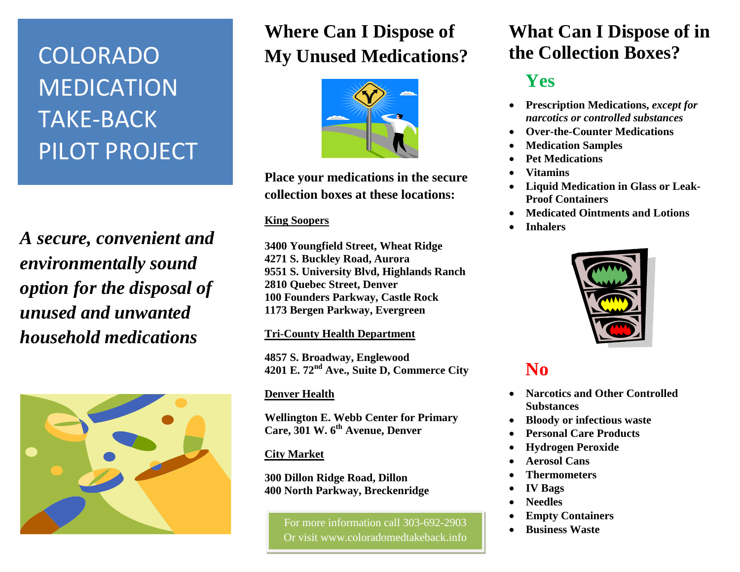# COLORADO MEDICATION TAKE-BACK PILOT PROJECT

*A secure, convenient and environmentally sound option for the disposal of unused and unwanted household medications*



# **Where Can I Dispose of My Unused Medications?**



**Place your medications in the secure collection boxes at these locations:**

#### **King Soopers**

**3400 Youngfield Street, Wheat Ridge 4271 S. Buckley Road, Aurora 9551 S. University Blvd, Highlands Ranch 2810 Quebec Street, Denver 100 Founders Parkway, Castle Rock 1173 Bergen Parkway, Evergreen**

#### **Tri-County Health Department**

**4857 S. Broadway, Englewood 4201 E. 72nd Ave., Suite D, Commerce City** 

#### **Denver Health**

**Wellington E. Webb Center for Primary Care, 301 W. 6th Avenue, Denver**

#### **City Market**

**300 Dillon Ridge Road, Dillon 400 North Parkway, Breckenridge** 

> For more information call 303-692-2903 Or visit www.coloradomedtakeback.info

### **What Can I Dispose of in the Collection Boxes?**

# **Yes**

- **Prescription Medications,** *except for narcotics or controlled substances*
- **Over-the-Counter Medications**
- **Medication Samples**
- **Pet Medications**
- **Vitamins**
- **Liquid Medication in Glass or Leak-Proof Containers**
- **Medicated Ointments and Lotions**
- **Inhalers**



## **No**

- **Narcotics and Other Controlled Substances**
- **Bloody or infectious waste**
- **Personal Care Products**
- **Hydrogen Peroxide**
- **Aerosol Cans**
- **Thermometers**
- **IV Bags**
- **Needles**
- **Empty Containers**
- **Business Waste**